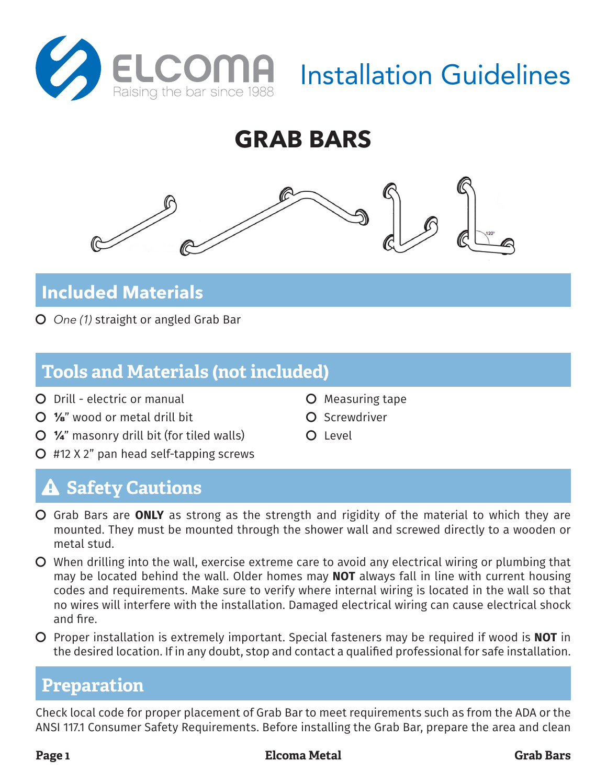**GRAB BARS**

# **Included Materials**

Č *One (1)* straight or angled Grab Bar

## **Tools and Materials (not included)**

- Č Drill electric or manual
- $\Omega$  %" wood or metal drill bit
- $\bigcirc$   $\mathcal{V}_4$ " masonry drill bit (for tiled walls)
- $Q$  #12 X 2" pan head self-tapping screws

# **A Safety Cautions**

- Č Grab Bars are **ONLY** as strong as the strength and rigidity of the material to which they are mounted. They must be mounted through the shower wall and screwed directly to a wooden or metal stud.
- Č When drilling into the wall, exercise extreme care to avoid any electrical wiring or plumbing that may be located behind the wall. Older homes may **NOT** always fall in line with current housing codes and requirements. Make sure to verify where internal wiring is located in the wall so that no wires will interfere with the installation. Damaged electrical wiring can cause electrical shock and fire.
- Č Proper installation is extremely important. Special fasteners may be required if wood is **NOT** in the desired location. If in any doubt, stop and contact a qualified professional for safe installation.

### **Preparation**

Check local code for proper placement of Grab Bar to meet requirements such as from the ADA or the ANSI 117.1 Consumer Safety Requirements. Before installing the Grab Bar, prepare the area and clean

- **O** Measuring tape
- Č Screwdriver
- O Level







Installation Guidelines